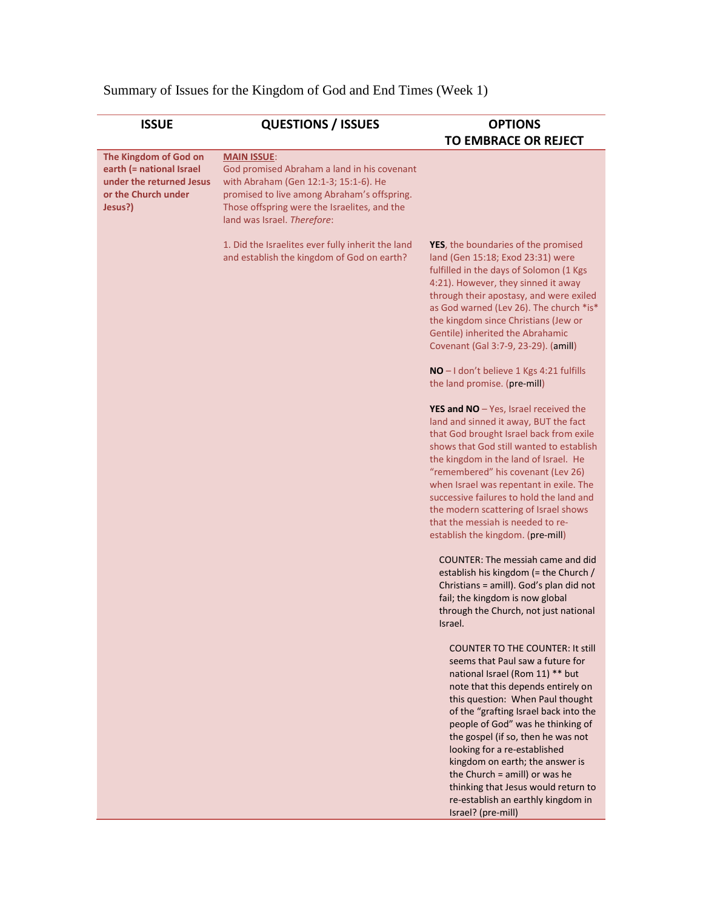|  |  |  |  |  | Summary of Issues for the Kingdom of God and End Times (Week 1) |  |  |
|--|--|--|--|--|-----------------------------------------------------------------|--|--|
|--|--|--|--|--|-----------------------------------------------------------------|--|--|

| <b>MAIN ISSUE:</b>                                                                                                                                                                                                 | <b>TO EMBRACE OR REJECT</b>                                                                                                                                                                                                                                                                                                                                                                                                                                                                                                                                                                                                                                                         |
|--------------------------------------------------------------------------------------------------------------------------------------------------------------------------------------------------------------------|-------------------------------------------------------------------------------------------------------------------------------------------------------------------------------------------------------------------------------------------------------------------------------------------------------------------------------------------------------------------------------------------------------------------------------------------------------------------------------------------------------------------------------------------------------------------------------------------------------------------------------------------------------------------------------------|
|                                                                                                                                                                                                                    |                                                                                                                                                                                                                                                                                                                                                                                                                                                                                                                                                                                                                                                                                     |
| God promised Abraham a land in his covenant<br>with Abraham (Gen 12:1-3; 15:1-6). He<br>promised to live among Abraham's offspring.<br>Those offspring were the Israelites, and the<br>land was Israel. Therefore: |                                                                                                                                                                                                                                                                                                                                                                                                                                                                                                                                                                                                                                                                                     |
| 1. Did the Israelites ever fully inherit the land<br>and establish the kingdom of God on earth?                                                                                                                    | YES, the boundaries of the promised<br>land (Gen 15:18; Exod 23:31) were<br>fulfilled in the days of Solomon (1 Kgs<br>4:21). However, they sinned it away<br>through their apostasy, and were exiled<br>as God warned (Lev 26). The church *is*<br>the kingdom since Christians (Jew or<br>Gentile) inherited the Abrahamic<br>Covenant (Gal 3:7-9, 23-29). (amill)                                                                                                                                                                                                                                                                                                                |
|                                                                                                                                                                                                                    | NO - I don't believe 1 Kgs 4:21 fulfills<br>the land promise. (pre-mill)                                                                                                                                                                                                                                                                                                                                                                                                                                                                                                                                                                                                            |
|                                                                                                                                                                                                                    | <b>YES and NO</b> $-$ Yes, Israel received the<br>land and sinned it away, BUT the fact<br>that God brought Israel back from exile<br>shows that God still wanted to establish<br>the kingdom in the land of Israel. He<br>"remembered" his covenant (Lev 26)<br>when Israel was repentant in exile. The<br>successive failures to hold the land and<br>the modern scattering of Israel shows<br>that the messiah is needed to re-<br>establish the kingdom. (pre-mill)<br><b>COUNTER: The messiah came and did</b><br>establish his kingdom (= the Church /<br>Christians = amill). God's plan did not<br>fail; the kingdom is now global<br>through the Church, not just national |
|                                                                                                                                                                                                                    | Israel.<br><b>COUNTER TO THE COUNTER: It still</b><br>seems that Paul saw a future for<br>national Israel (Rom 11) ** but<br>note that this depends entirely on<br>this question: When Paul thought<br>of the "grafting Israel back into the<br>people of God" was he thinking of<br>the gospel (if so, then he was not<br>looking for a re-established<br>kingdom on earth; the answer is<br>the Church = amill) or was he<br>thinking that Jesus would return to<br>re-establish an earthly kingdom in<br>Israel? (pre-mill)                                                                                                                                                      |
|                                                                                                                                                                                                                    |                                                                                                                                                                                                                                                                                                                                                                                                                                                                                                                                                                                                                                                                                     |